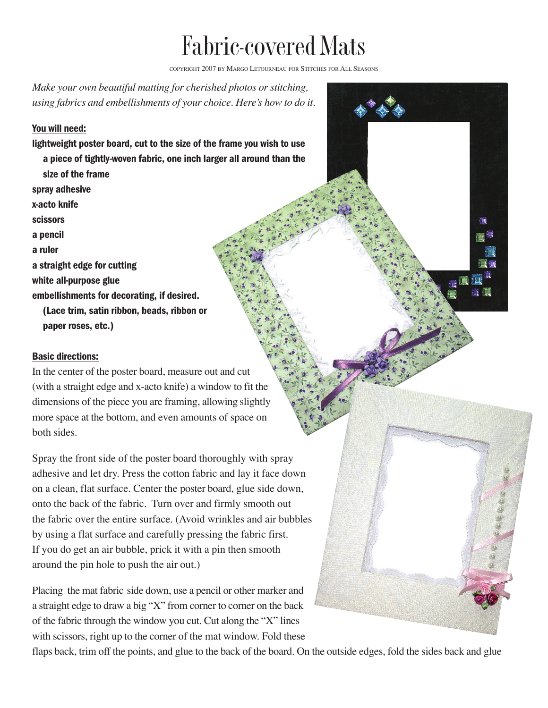## Fabric-covered Mats

COPYRIGHT 2007 BY MARGO LETOURNEAU FOR STITCHES FOR ALL SEASONS

Ù,

 $H - 1$ 

雄原

*Make your own beautiful matting for cherished photos or stitching, using fabrics and embellishments of your choice. Here's how to do it.*

## You will need:

lightweight poster board, cut to the size of the frame you wish to use a piece of tightly-woven fabric, one inch larger all around than the size of the frame spray adhesive x-acto knife scissors a pencil a ruler a straight edge for cutting white all-purpose glue embellishments for decorating, if desired. (Lace trim, satin ribbon, beads, ribbon or paper roses, etc.)

## Basic directions:

In the center of the poster board, measure out and cut (with a straight edge and x-acto knife) a window to fit the dimensions of the piece you are framing, allowing slightly more space at the bottom, and even amounts of space on both sides.

Spray the front side of the poster board thoroughly with spray adhesive and let dry. Press the cotton fabric and lay it face down on a clean, flat surface. Center the poster board, glue side down, onto the back of the fabric. Turn over and firmly smooth out the fabric over the entire surface. (Avoid wrinkles and air bubbles by using a flat surface and carefully pressing the fabric first. If you do get an air bubble, prick it with a pin then smooth around the pin hole to push the air out.)

Placing the mat fabric side down, use a pencil or other marker and a straight edge to draw a big "X" from corner to corner on the back of the fabric through the window you cut. Cut along the "X" lines with scissors, right up to the corner of the mat window. Fold these

flaps back, trim off the points, and glue to the back of the board. On the outside edges, fold the sides back and glue